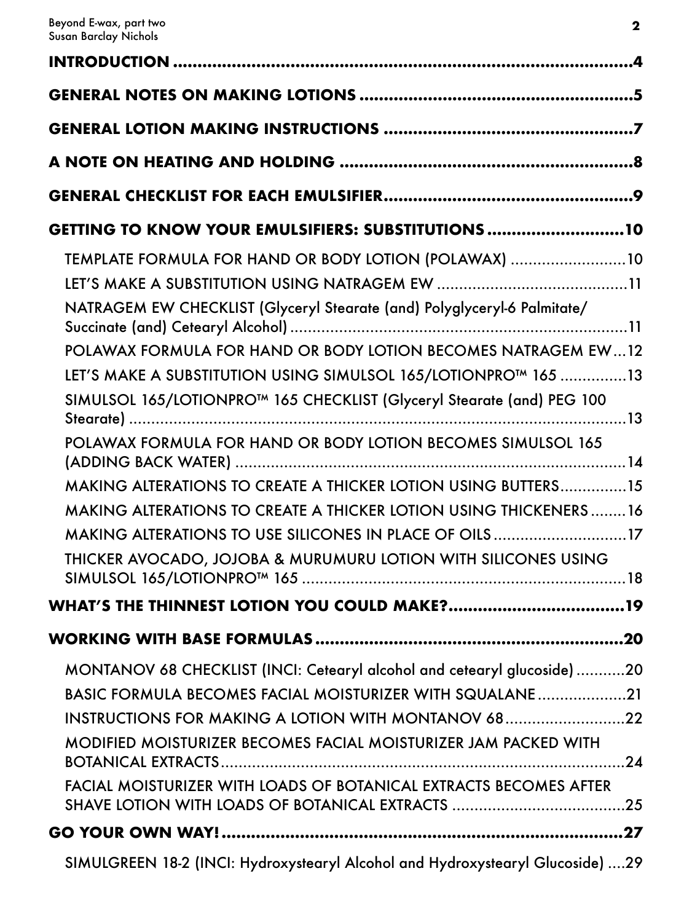| GETTING TO KNOW YOUR EMULSIFIERS: SUBSTITUTIONS10                                                                                                                                                                                                                                                                                                                                                                                                                                                                                                                                                                                                                                                         |
|-----------------------------------------------------------------------------------------------------------------------------------------------------------------------------------------------------------------------------------------------------------------------------------------------------------------------------------------------------------------------------------------------------------------------------------------------------------------------------------------------------------------------------------------------------------------------------------------------------------------------------------------------------------------------------------------------------------|
| TEMPLATE FORMULA FOR HAND OR BODY LOTION (POLAWAX) 10<br>NATRAGEM EW CHECKLIST (Glyceryl Stearate (and) Polyglyceryl-6 Palmitate/<br>POLAWAX FORMULA FOR HAND OR BODY LOTION BECOMES NATRAGEM EW12<br>LET'S MAKE A SUBSTITUTION USING SIMULSOL 165/LOTIONPRO™ 165 13<br>SIMULSOL 165/LOTIONPRO <sup>™</sup> 165 CHECKLIST (Glyceryl Stearate (and) PEG 100<br>POLAWAX FORMULA FOR HAND OR BODY LOTION BECOMES SIMULSOL 165<br><b>MAKING ALTERATIONS TO CREATE A THICKER LOTION USING BUTTERS15</b><br><b>MAKING ALTERATIONS TO CREATE A THICKER LOTION USING THICKENERS16</b><br>MAKING ALTERATIONS TO USE SILICONES IN PLACE OF OILS17<br>THICKER AVOCADO, JOJOBA & MURUMURU LOTION WITH SILICONES USING |
|                                                                                                                                                                                                                                                                                                                                                                                                                                                                                                                                                                                                                                                                                                           |
|                                                                                                                                                                                                                                                                                                                                                                                                                                                                                                                                                                                                                                                                                                           |
| MONTANOV 68 CHECKLIST (INCI: Cetearyl alcohol and cetearyl glucoside)20<br><b>BASIC FORMULA BECOMES FACIAL MOISTURIZER WITH SQUALANE21</b><br>INSTRUCTIONS FOR MAKING A LOTION WITH MONTANOV 6822<br><b>MODIFIED MOISTURIZER BECOMES FACIAL MOISTURIZER JAM PACKED WITH</b><br><b>FACIAL MOISTURIZER WITH LOADS OF BOTANICAL EXTRACTS BECOMES AFTER</b>                                                                                                                                                                                                                                                                                                                                                   |
|                                                                                                                                                                                                                                                                                                                                                                                                                                                                                                                                                                                                                                                                                                           |
| SIMULGREEN 18-2 (INCI: Hydroxystearyl Alcohol and Hydroxystearyl Glucoside) 29                                                                                                                                                                                                                                                                                                                                                                                                                                                                                                                                                                                                                            |